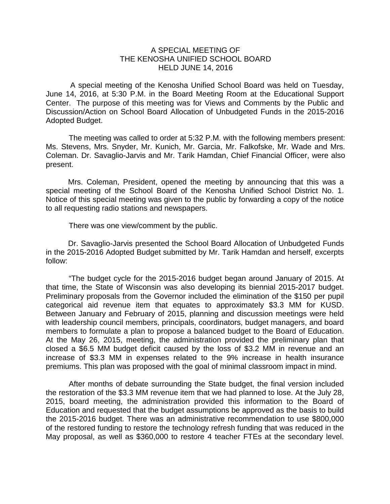## A SPECIAL MEETING OF THE KENOSHA UNIFIED SCHOOL BOARD HELD JUNE 14, 2016

A special meeting of the Kenosha Unified School Board was held on Tuesday, June 14, 2016, at 5:30 P.M. in the Board Meeting Room at the Educational Support Center. The purpose of this meeting was for Views and Comments by the Public and Discussion/Action on School Board Allocation of Unbudgeted Funds in the 2015-2016 Adopted Budget.

The meeting was called to order at 5:32 P.M. with the following members present: Ms. Stevens, Mrs. Snyder, Mr. Kunich, Mr. Garcia, Mr. Falkofske, Mr. Wade and Mrs. Coleman. Dr. Savaglio-Jarvis and Mr. Tarik Hamdan, Chief Financial Officer, were also present.

Mrs. Coleman, President, opened the meeting by announcing that this was a special meeting of the School Board of the Kenosha Unified School District No. 1. Notice of this special meeting was given to the public by forwarding a copy of the notice to all requesting radio stations and newspapers.

There was one view/comment by the public.

Dr. Savaglio-Jarvis presented the School Board Allocation of Unbudgeted Funds in the 2015-2016 Adopted Budget submitted by Mr. Tarik Hamdan and herself, excerpts follow:

"The budget cycle for the 2015-2016 budget began around January of 2015. At that time, the State of Wisconsin was also developing its biennial 2015-2017 budget. Preliminary proposals from the Governor included the elimination of the \$150 per pupil categorical aid revenue item that equates to approximately \$3.3 MM for KUSD. Between January and February of 2015, planning and discussion meetings were held with leadership council members, principals, coordinators, budget managers, and board members to formulate a plan to propose a balanced budget to the Board of Education. At the May 26, 2015, meeting, the administration provided the preliminary plan that closed a \$6.5 MM budget deficit caused by the loss of \$3.2 MM in revenue and an increase of \$3.3 MM in expenses related to the 9% increase in health insurance premiums. This plan was proposed with the goal of minimal classroom impact in mind.

After months of debate surrounding the State budget, the final version included the restoration of the \$3.3 MM revenue item that we had planned to lose. At the July 28, 2015, board meeting, the administration provided this information to the Board of Education and requested that the budget assumptions be approved as the basis to build the 2015-2016 budget. There was an administrative recommendation to use \$800,000 of the restored funding to restore the technology refresh funding that was reduced in the May proposal, as well as \$360,000 to restore 4 teacher FTEs at the secondary level.